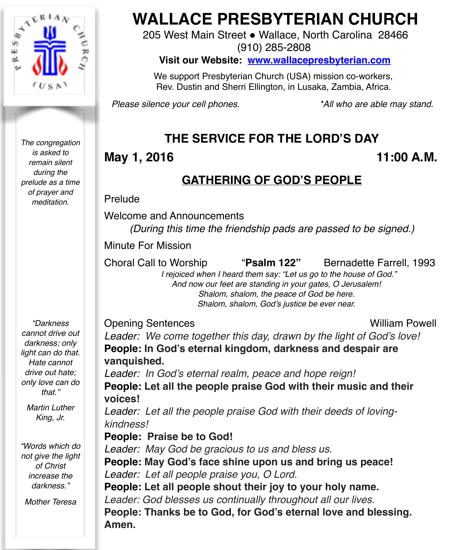

*The congregation is asked to remain silent during the prelude as a time of prayer and meditation.*

# **WALLACE PRESBYTERIAN CHURCH**

205 West Main Street . Wallace, North Carolina 28466

(910) 285-2808

**Visit our Website: [www.wallacepresbyterian.com](http://www.wallacepresbyterian.com)**

 We support Presbyterian Church (USA) mission co-workers, Rev. Dustin and Sherri Ellington, in Lusaka, Zambia, Africa.

*Please silence your cell phones. \*All who are able may stand.*

### **THE SERVICE FOR THE LORD'S DAY**

### **May 1, 2016** 11:00 A.M.

### **GATHERING OF GOD'S PEOPLE**

Prelude

Welcome and Announcements *(During this time the friendship pads are passed to be signed.)*

Minute For Mission!! ! **!!!!! ! !** 

Choral Call to Worship "**Psalm 122"** Bernadette Farrell, 1993

 *I rejoiced when I heard them say: "Let us go to the house of God." And now our feet are standing in your gates, O Jerusalem! Shalom, shalom, the peace of God be here. Shalom, shalom, God's justice be ever near.*

Opening Sentences William Powell

*"Darkness cannot drive out darkness; only light can do that. Hate cannot drive out hate; only love can do that."* 

*Martin Luther King, Jr.*

*"Words which do not give the light of Christ increase the darkness."*

*Mother Teresa*

*Leader: We come together this day, drawn by the light of God's love!* **People: In God's eternal kingdom, darkness and despair are vanquished.**

*Leader: In God's eternal realm, peace and hope reign!* **People: Let all the people praise God with their music and their voices!**

*Leader: Let all the people praise God with their deeds of lovingkindness!*

**People: Praise be to God!**

*Leader: May God be gracious to us and bless us.* **People: May God's face shine upon us and bring us peace!** *Leader: Let all people praise you, O Lord.*

**People: Let all people shout their joy to your holy name.** *Leader: God blesses us continually throughout all our lives.* **People: Thanks be to God, for God's eternal love and blessing. Amen.**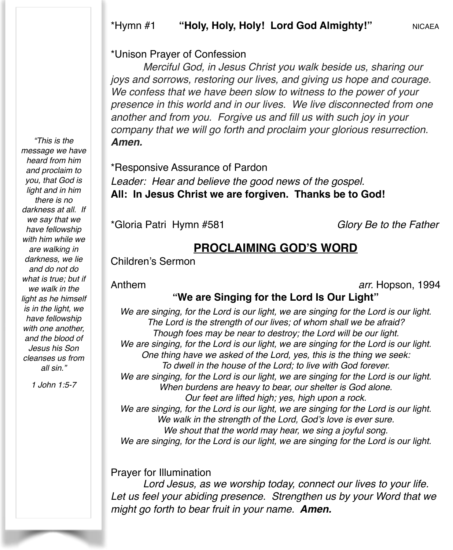#### \*Unison Prayer of Confession

*Merciful God, in Jesus Christ you walk beside us, sharing our joys and sorrows, restoring our lives, and giving us hope and courage. We confess that we have been slow to witness to the power of your presence in this world and in our lives. We live disconnected from one another and from you. Forgive us and fill us with such joy in your company that we will go forth and proclaim your glorious resurrection. Amen.*

\*Responsive Assurance of Pardon Leader: Hear and believe the good news of the gospel. **All: In Jesus Christ we are forgiven. Thanks be to God!**

\*Gloria Patri Hymn #581 *Glory Be to the Father*

### **PROCLAIMING GOD'S WORD**

Children's Sermon

Anthem *arr.* Hopson, 1994

### **"We are Singing for the Lord Is Our Light"**

*We are singing, for the Lord is our light, we are singing for the Lord is our light. The Lord is the strength of our lives; of whom shall we be afraid? Though foes may be near to destroy; the Lord will be our light. We are singing, for the Lord is our light, we are singing for the Lord is our light. One thing have we asked of the Lord, yes, this is the thing we seek: To dwell in the house of the Lord; to live with God forever. We are singing, for the Lord is our light, we are singing for the Lord is our light. When burdens are heavy to bear, our shelter is God alone. Our feet are lifted high; yes, high upon a rock. We are singing, for the Lord is our light, we are singing for the Lord is our light. We walk in the strength of the Lord, God's love is ever sure. We shout that the world may hear, we sing a joyful song. We are singing, for the Lord is our light, we are singing for the Lord is our light.*

#### Prayer for Illumination

*Lord Jesus, as we worship today, connect our lives to your life. Let us feel your abiding presence. Strengthen us by your Word that we might go forth to bear fruit in your name. Amen.*

*"This is the message we have heard from him and proclaim to you, that God is light and in him there is no darkness at all. If we say that we have fellowship with him while we are walking in darkness, we lie and do not do what is true; but if we walk in the light as he himself is in the light, we have fellowship with one another, and the blood of Jesus his Son cleanses us from all sin."*

*1 John 1:5-7*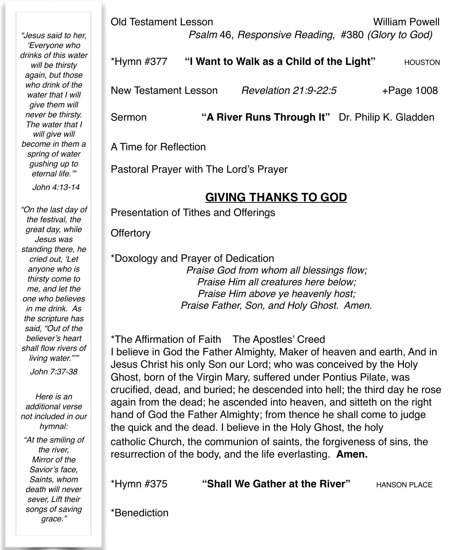*"Jesus said to her, 'Everyone who drinks of this water will be thirsty again, but those who drink of the water that I will give them will never be thirsty. The water that I will give will become in them a spring of water gushing up to eternal life.'"* 

 *John 4:13-14*

*"On the last day of the festival, the great day, while Jesus was standing there, he cried out, 'Let anyone who is thirsty come to me, and let the one who believes in me drink. As the scripture has said, "Out of the believer's heart shall flow rivers of living water."'"* 

*John 7:37-38*

*Here is an additional verse not included in our hymnal: "At the smiling of the river, Mirror of the Savior's face, Saints, whom death will never sever, Lift their songs of saving grace."*

Old Testament Lesson William Powell  *Psalm* 46, *Responsive Reading,* #380 *(Glory to God)* 

| *Hymn #377           | "I Want to Walk as a Child of the Light" |                      | <b>HOUSTON</b> |
|----------------------|------------------------------------------|----------------------|----------------|
| New Testament Lesson |                                          | Revelation 21:9-22:5 | $+$ Page 1008  |

Sermon **"A River Runs Through It"** Dr. Philip K. Gladden

A Time for Reflection

Pastoral Prayer with The Lord's Prayer

### **GIVING THANKS TO GOD**

Presentation of Tithes and Offerings

**Offertory** 

\*Doxology and Prayer of Dedication

*Praise God from whom all blessings flow; Praise Him all creatures here below; Praise Him above ye heavenly host; Praise Father, Son, and Holy Ghost. Amen.*

\*The Affirmation of Faith The Apostles' Creed I believe in God the Father Almighty, Maker of heaven and earth, And in Jesus Christ his only Son our Lord; who was conceived by the Holy Ghost, born of the Virgin Mary, suffered under Pontius Pilate, was crucified, dead, and buried; he descended into hell; the third day he rose again from the dead; he ascended into heaven, and sitteth on the right hand of God the Father Almighty; from thence he shall come to judge the quick and the dead. I believe in the Holy Ghost, the holy catholic Church, the communion of saints, the forgiveness of sins, the resurrection of the body, and the life everlasting. **Amen.**

\*Hymn #375 "Shall We Gather at the River" **HANSON PLACE** 

\*Benediction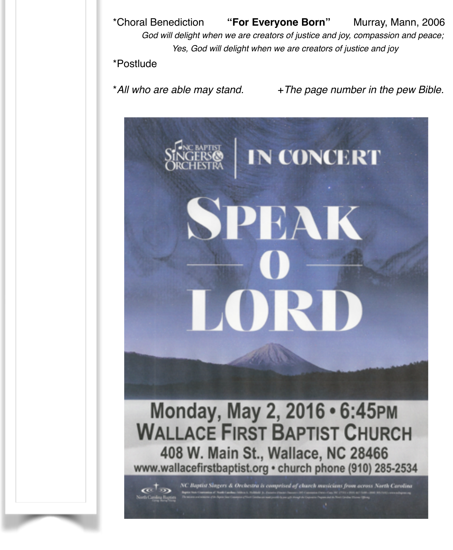\*Choral Benediction **"For Everyone Born"** Murray, Mann, 2006 *God will delight when we are creators of justice and joy, compassion and peace; Yes, God will delight when we are creators of justice and joy*

#### \*Postlude

\**All who are able may stand.* +*The page number in the pew Bible.*

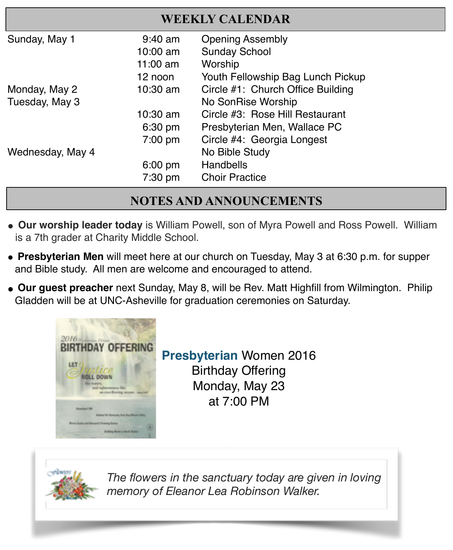| <b>WEEKLY CALENDAR</b> |                   |                                   |  |  |
|------------------------|-------------------|-----------------------------------|--|--|
| Sunday, May 1          | $9:40$ am         | <b>Opening Assembly</b>           |  |  |
|                        | 10:00 am          | <b>Sunday School</b>              |  |  |
|                        | $11:00$ am        | Worship                           |  |  |
|                        | 12 noon           | Youth Fellowship Bag Lunch Pickup |  |  |
| Monday, May 2          | 10:30 am          | Circle #1: Church Office Building |  |  |
| Tuesday, May 3         |                   | No SonRise Worship                |  |  |
|                        | 10:30 am          | Circle #3: Rose Hill Restaurant   |  |  |
|                        | 6:30 pm           | Presbyterian Men, Wallace PC      |  |  |
|                        | $7:00 \text{ pm}$ | Circle #4: Georgia Longest        |  |  |
| Wednesday, May 4       |                   | No Bible Study                    |  |  |
|                        | $6:00$ pm         | Handbells                         |  |  |
|                        | $7:30$ pm         | <b>Choir Practice</b>             |  |  |

### **NOTES AND ANNOUNCEMENTS**

- **" Our worship leader today** is William Powell, son of Myra Powell and Ross Powell. William is a 7th grader at Charity Middle School.
- **Presbyterian Men** will meet here at our church on Tuesday, May 3 at 6:30 p.m. for supper and Bible study. All men are welcome and encouraged to attend.
- " **Our guest preacher** next Sunday, May 8, will be Rev. Matt Highfill from Wilmington. Philip Gladden will be at UNC-Asheville for graduation ceremonies on Saturday.



**Presbyterian** Women 2016 Birthday Offering Monday, May 23 at 7:00 PM



*The flowers in the sanctuary today are given in loving memory of Eleanor Lea Robinson Walker.*